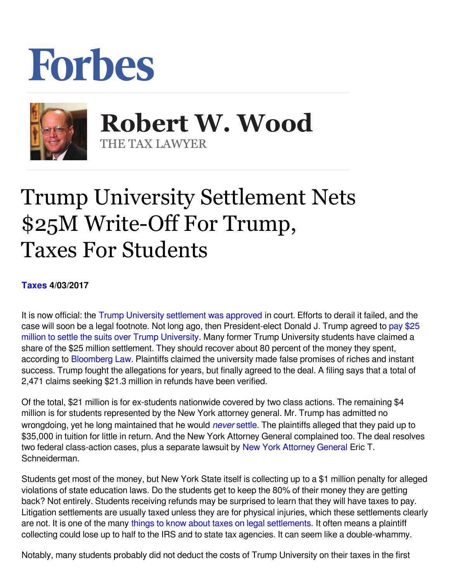## Forbes



**Robert W. Wood Robert W. Wood** THE TAX LAWYER THE TAX LAWYER

## Trump University Settlement Nets \$25M Write-Off For Trump, Taxes For Students

## **[Taxes](https://www.forbes.com/taxes) 4/03/2017**

It is now official: the [Trump University settlement was approved](https://www.google.com/url?sa=t&rct=j&q=&esrc=s&source=web&cd=6&cad=rja&uact=8&ved=0ahUKEwinhoTzxYLTAhVIzGMKHQwRAtEQFgg5MAU&url=http://money.cnn.com/2017/03/31/news/trump-university-settlement/&usg=AFQjCNH0qesgukyC8kpni5e6h06QE7B6wA) in court. Efforts to derail it failed, and the case will soon be a legal footnote. Not long ago, then President-elect Donald J. Trump agreed to [pay \\$25](http://www.forbes.com/sites/chasewithorn/2016/11/18/donald-trump-agrees-to-settle-trump-university-case-after-all/#204d4555160d) [million to settle the suits over Trump University.](http://www.forbes.com/sites/chasewithorn/2016/11/18/donald-trump-agrees-to-settle-trump-university-case-after-all/#204d4555160d) Many former Trump University students have claimed a share of the \$25 million settlement. They should recover about 80 percent of the money they spent, according to [Bloomberg Law.](https://bol.bna.com/thousands-of-trump-university-students-sign-up-for-hefty-refunds/) Plaintiffs claimed the university made false promises of riches and instant success. Trump fought the allegations for years, but finally agreed to the deal. A filing says that a total of 2,471 claims seeking \$21.3 million in refunds have been verified.

Of the total, \$21 million is for ex-students nationwide covered by two class actions. The remaining \$4 million is for students represented by the New York attorney general. Mr. Trump has admitted no wrongdoing, yet he long maintained that he would *never* [settle.](https://thinkprogress.org/donald-trump-says-i-dont-settle-but-we-found-13-times-he-did-3a7ae4678b22#.atu1weuoh) The plaintiffs alleged that they paid up to \$35,000 in tuition for little in return. And the New York Attorney General complained too. The deal resolves two federal class-action cases, plus a separate lawsuit by [New York Attorney General](http://www.ag.ny.gov/press-release/statement-ag-schneiderman-25-million-settlement-agreement-reached-trump-university) Eric T. Schneiderman.

Students get most of the money, but New York State itself is collecting up to a \$1 million penalty for alleged violations of state education laws. Do the students get to keep the 80% of their money they are getting back? Not entirely. Students receiving refunds may be surprised to learn that they will have taxes to pay. Litigation settlements are usually taxed unless they are for physical injuries, which these settlements clearly are not. It is one of the many [things to know about taxes on legal settlements.](https://www.google.com/url?sa=t&rct=j&q=&esrc=s&source=web&cd=13&cad=rja&uact=8&ved=0ahUKEwici-eNwIbTAhXDKiYKHeNWCHUQFghUMAw&url=http://www.forbes.com/sites/robertwood/2015/07/06/10-things-to-know-about-taxes-on-legal-settlements/&usg=AFQjCNFUP3X4ohSMGq_gV3A4hJT0k84z2Q&bvm=bv.151325232,d.eWE) It often means a plaintiff collecting could lose up to half to the IRS and to state tax agencies. It can seem like a double-whammy.

Notably, many students probably did not deduct the costs of Trump University on their taxes in the first